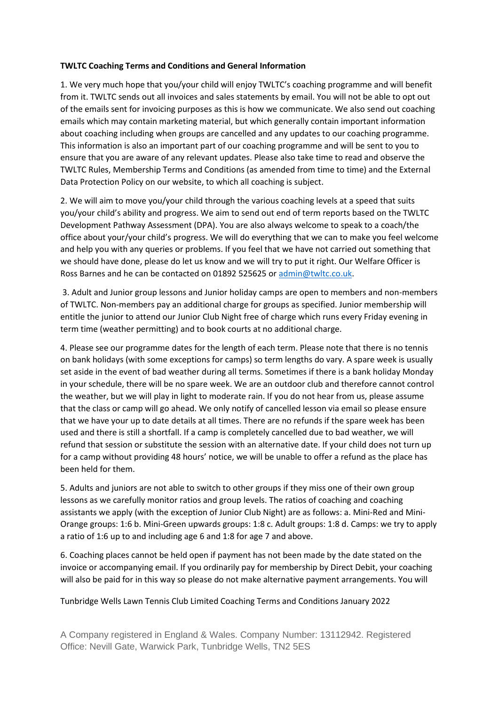## **TWLTC Coaching Terms and Conditions and General Information**

1. We very much hope that you/your child will enjoy TWLTC's coaching programme and will benefit from it. TWLTC sends out all invoices and sales statements by email. You will not be able to opt out of the emails sent for invoicing purposes as this is how we communicate. We also send out coaching emails which may contain marketing material, but which generally contain important information about coaching including when groups are cancelled and any updates to our coaching programme. This information is also an important part of our coaching programme and will be sent to you to ensure that you are aware of any relevant updates. Please also take time to read and observe the TWLTC Rules, Membership Terms and Conditions (as amended from time to time) and the External Data Protection Policy on our website, to which all coaching is subject.

2. We will aim to move you/your child through the various coaching levels at a speed that suits you/your child's ability and progress. We aim to send out end of term reports based on the TWLTC Development Pathway Assessment (DPA). You are also always welcome to speak to a coach/the office about your/your child's progress. We will do everything that we can to make you feel welcome and help you with any queries or problems. If you feel that we have not carried out something that we should have done, please do let us know and we will try to put it right. Our Welfare Officer is Ross Barnes and he can be contacted on 01892 525625 o[r admin@twltc.co.uk.](mailto:admin@twltc.co.uk)

3. Adult and Junior group lessons and Junior holiday camps are open to members and non-members of TWLTC. Non-members pay an additional charge for groups as specified. Junior membership will entitle the junior to attend our Junior Club Night free of charge which runs every Friday evening in term time (weather permitting) and to book courts at no additional charge.

4. Please see our programme dates for the length of each term. Please note that there is no tennis on bank holidays (with some exceptions for camps) so term lengths do vary. A spare week is usually set aside in the event of bad weather during all terms. Sometimes if there is a bank holiday Monday in your schedule, there will be no spare week. We are an outdoor club and therefore cannot control the weather, but we will play in light to moderate rain. If you do not hear from us, please assume that the class or camp will go ahead. We only notify of cancelled lesson via email so please ensure that we have your up to date details at all times. There are no refunds if the spare week has been used and there is still a shortfall. If a camp is completely cancelled due to bad weather, we will refund that session or substitute the session with an alternative date. If your child does not turn up for a camp without providing 48 hours' notice, we will be unable to offer a refund as the place has been held for them.

5. Adults and juniors are not able to switch to other groups if they miss one of their own group lessons as we carefully monitor ratios and group levels. The ratios of coaching and coaching assistants we apply (with the exception of Junior Club Night) are as follows: a. Mini-Red and Mini-Orange groups: 1:6 b. Mini-Green upwards groups: 1:8 c. Adult groups: 1:8 d. Camps: we try to apply a ratio of 1:6 up to and including age 6 and 1:8 for age 7 and above.

6. Coaching places cannot be held open if payment has not been made by the date stated on the invoice or accompanying email. If you ordinarily pay for membership by Direct Debit, your coaching will also be paid for in this way so please do not make alternative payment arrangements. You will

## Tunbridge Wells Lawn Tennis Club Limited Coaching Terms and Conditions January 2022

A Company registered in England & Wales. Company Number: 13112942. Registered Office: Nevill Gate, Warwick Park, Tunbridge Wells, TN2 5ES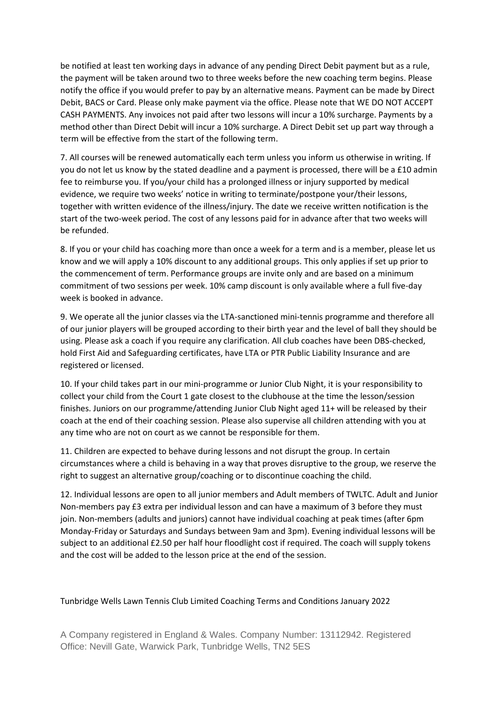be notified at least ten working days in advance of any pending Direct Debit payment but as a rule, the payment will be taken around two to three weeks before the new coaching term begins. Please notify the office if you would prefer to pay by an alternative means. Payment can be made by Direct Debit, BACS or Card. Please only make payment via the office. Please note that WE DO NOT ACCEPT CASH PAYMENTS. Any invoices not paid after two lessons will incur a 10% surcharge. Payments by a method other than Direct Debit will incur a 10% surcharge. A Direct Debit set up part way through a term will be effective from the start of the following term.

7. All courses will be renewed automatically each term unless you inform us otherwise in writing. If you do not let us know by the stated deadline and a payment is processed, there will be a £10 admin fee to reimburse you. If you/your child has a prolonged illness or injury supported by medical evidence, we require two weeks' notice in writing to terminate/postpone your/their lessons, together with written evidence of the illness/injury. The date we receive written notification is the start of the two-week period. The cost of any lessons paid for in advance after that two weeks will be refunded.

8. If you or your child has coaching more than once a week for a term and is a member, please let us know and we will apply a 10% discount to any additional groups. This only applies if set up prior to the commencement of term. Performance groups are invite only and are based on a minimum commitment of two sessions per week. 10% camp discount is only available where a full five-day week is booked in advance.

9. We operate all the junior classes via the LTA-sanctioned mini-tennis programme and therefore all of our junior players will be grouped according to their birth year and the level of ball they should be using. Please ask a coach if you require any clarification. All club coaches have been DBS-checked, hold First Aid and Safeguarding certificates, have LTA or PTR Public Liability Insurance and are registered or licensed.

10. If your child takes part in our mini-programme or Junior Club Night, it is your responsibility to collect your child from the Court 1 gate closest to the clubhouse at the time the lesson/session finishes. Juniors on our programme/attending Junior Club Night aged 11+ will be released by their coach at the end of their coaching session. Please also supervise all children attending with you at any time who are not on court as we cannot be responsible for them.

11. Children are expected to behave during lessons and not disrupt the group. In certain circumstances where a child is behaving in a way that proves disruptive to the group, we reserve the right to suggest an alternative group/coaching or to discontinue coaching the child.

12. Individual lessons are open to all junior members and Adult members of TWLTC. Adult and Junior Non-members pay £3 extra per individual lesson and can have a maximum of 3 before they must join. Non-members (adults and juniors) cannot have individual coaching at peak times (after 6pm Monday-Friday or Saturdays and Sundays between 9am and 3pm). Evening individual lessons will be subject to an additional £2.50 per half hour floodlight cost if required. The coach will supply tokens and the cost will be added to the lesson price at the end of the session.

## Tunbridge Wells Lawn Tennis Club Limited Coaching Terms and Conditions January 2022

A Company registered in England & Wales. Company Number: 13112942. Registered Office: Nevill Gate, Warwick Park, Tunbridge Wells, TN2 5ES